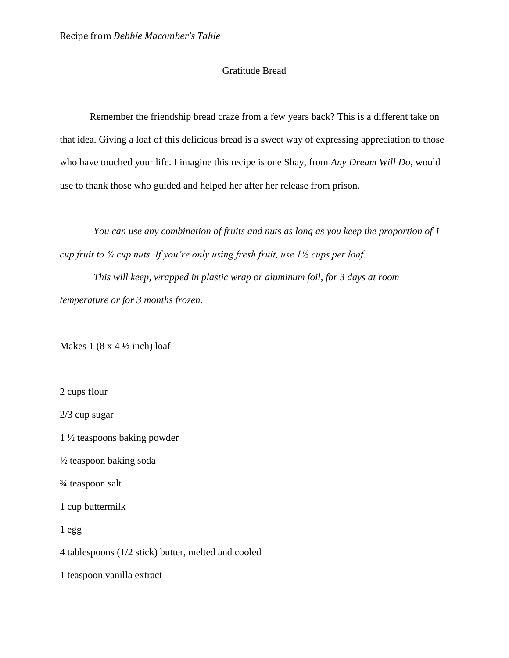## Gratitude Bread

Remember the friendship bread craze from a few years back? This is a different take on that idea. Giving a loaf of this delicious bread is a sweet way of expressing appreciation to those who have touched your life. I imagine this recipe is one Shay, from *Any Dream Will Do,* would use to thank those who guided and helped her after her release from prison.

*You can use any combination of fruits and nuts as long as you keep the proportion of 1 cup fruit to ¾ cup nuts. If you're only using fresh fruit, use 1½ cups per loaf.*

*This will keep, wrapped in plastic wrap or aluminum foil, for 3 days at room temperature or for 3 months frozen.* 

Makes 1 (8 x 4  $\frac{1}{2}$  inch) loaf

2 cups flour

2/3 cup sugar

1 ½ teaspoons baking powder

 $\frac{1}{2}$  teaspoon baking soda

¾ teaspoon salt

1 cup buttermilk

1 egg

4 tablespoons (1/2 stick) butter, melted and cooled

1 teaspoon vanilla extract